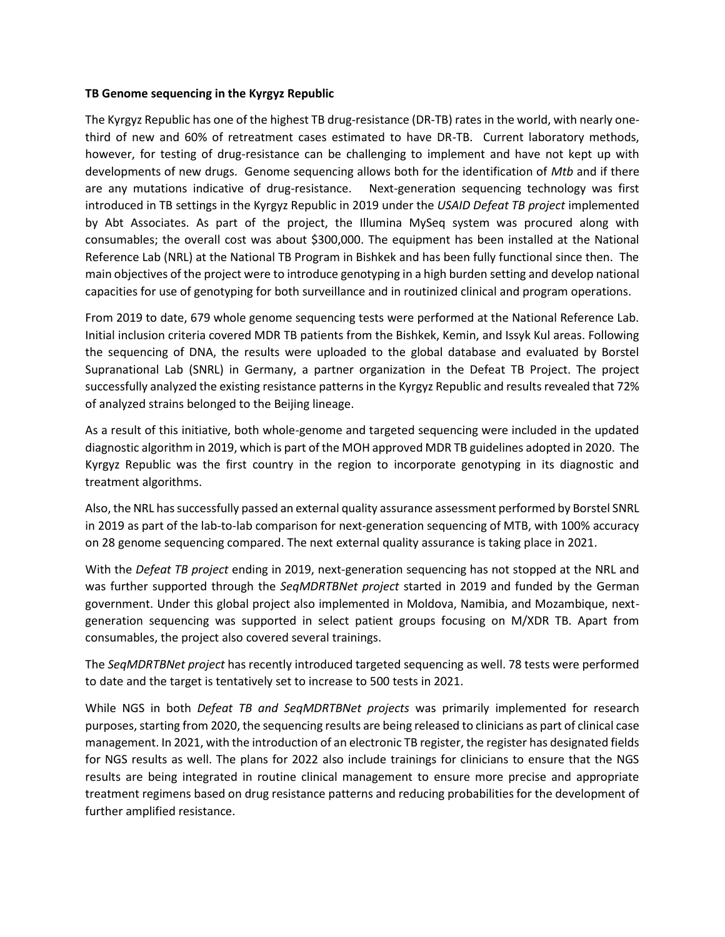## **TB Genome sequencing in the Kyrgyz Republic**

The Kyrgyz Republic has one of the highest TB drug-resistance (DR-TB) rates in the world, with nearly onethird of new and 60% of retreatment cases estimated to have DR-TB. Current laboratory methods, however, for testing of drug-resistance can be challenging to implement and have not kept up with developments of new drugs. Genome sequencing allows both for the identification of *Mtb* and if there are any mutations indicative of drug-resistance. Next-generation sequencing technology was first introduced in TB settings in the Kyrgyz Republic in 2019 under the *USAID Defeat TB project* implemented by Abt Associates. As part of the project, the Illumina MySeq system was procured along with consumables; the overall cost was about \$300,000. The equipment has been installed at the National Reference Lab (NRL) at the National TB Program in Bishkek and has been fully functional since then. The main objectives of the project were to introduce genotyping in a high burden setting and develop national capacities for use of genotyping for both surveillance and in routinized clinical and program operations.

From 2019 to date, 679 whole genome sequencing tests were performed at the National Reference Lab. Initial inclusion criteria covered MDR TB patients from the Bishkek, Kemin, and Issyk Kul areas. Following the sequencing of DNA, the results were uploaded to the global database and evaluated by Borstel Supranational Lab (SNRL) in Germany, a partner organization in the Defeat TB Project. The project successfully analyzed the existing resistance patterns in the Kyrgyz Republic and results revealed that 72% of analyzed strains belonged to the Beijing lineage.

As a result of this initiative, both whole-genome and targeted sequencing were included in the updated diagnostic algorithm in 2019, which is part of the MOH approved MDR TB guidelines adopted in 2020. The Kyrgyz Republic was the first country in the region to incorporate genotyping in its diagnostic and treatment algorithms.

Also, the NRL has successfully passed an external quality assurance assessment performed by Borstel SNRL in 2019 as part of the lab-to-lab comparison for next-generation sequencing of MTB, with 100% accuracy on 28 genome sequencing compared. The next external quality assurance is taking place in 2021.

With the *Defeat TB project* ending in 2019, next-generation sequencing has not stopped at the NRL and was further supported through the *SeqMDRTBNet project* started in 2019 and funded by the German government. Under this global project also implemented in Moldova, Namibia, and Mozambique, nextgeneration sequencing was supported in select patient groups focusing on M/XDR TB. Apart from consumables, the project also covered several trainings.

The *SeqMDRTBNet project* has recently introduced targeted sequencing as well. 78 tests were performed to date and the target is tentatively set to increase to 500 tests in 2021.

While NGS in both *Defeat TB and SeqMDRTBNet projects* was primarily implemented for research purposes, starting from 2020, the sequencing results are being released to clinicians as part of clinical case management. In 2021, with the introduction of an electronic TB register, the register has designated fields for NGS results as well. The plans for 2022 also include trainings for clinicians to ensure that the NGS results are being integrated in routine clinical management to ensure more precise and appropriate treatment regimens based on drug resistance patterns and reducing probabilities for the development of further amplified resistance.